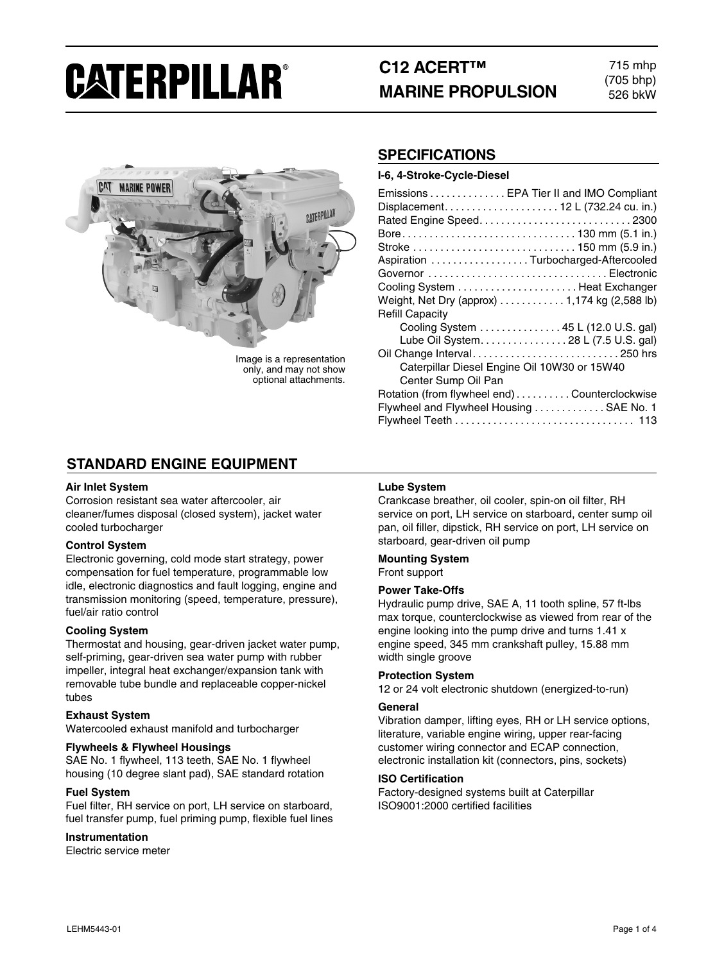# **CATERPILLAR®**

## **C12 ACERT™ MARINE PROPULSION**

715 mhp (705 bhp) 526 bkW



Image is a representation only, and may not show optional attachments.

#### **SPECIFICATIONS**

**I-6, 4-Stroke-Cycle-Diesel**

| Emissions EPA Tier II and IMO Compliant       |
|-----------------------------------------------|
|                                               |
|                                               |
|                                               |
| Stroke  150 mm (5.9 in.)                      |
| Aspiration Turbocharged-Aftercooled           |
| Governor Electronic                           |
| Cooling System  Heat Exchanger                |
| Weight, Net Dry (approx)  1,174 kg (2,588 lb) |
| <b>Refill Capacity</b>                        |
| Cooling System 45 L (12.0 U.S. gal)           |
| Lube Oil System. 28 L (7.5 U.S. gal)          |
| Oil Change Interval250 hrs                    |
| Caterpillar Diesel Engine Oil 10W30 or 15W40  |
| Center Sump Oil Pan                           |
| Rotation (from flywheel end)Counterclockwise  |
| Flywheel and Flywheel Housing  SAE No. 1      |
|                                               |

### **STANDARD ENGINE EQUIPMENT**

#### **Air Inlet System**

Corrosion resistant sea water aftercooler, air cleaner/fumes disposal (closed system), jacket water cooled turbocharger

#### **Control System**

Electronic governing, cold mode start strategy, power compensation for fuel temperature, programmable low idle, electronic diagnostics and fault logging, engine and transmission monitoring (speed, temperature, pressure), fuel/air ratio control

#### **Cooling System**

Thermostat and housing, gear-driven jacket water pump, self-priming, gear-driven sea water pump with rubber impeller, integral heat exchanger/expansion tank with removable tube bundle and replaceable copper-nickel tubes

#### **Exhaust System**

Watercooled exhaust manifold and turbocharger

#### **Flywheels & Flywheel Housings**

SAE No. 1 flywheel, 113 teeth, SAE No. 1 flywheel housing (10 degree slant pad), SAE standard rotation

#### **Fuel System**

Fuel filter, RH service on port, LH service on starboard, fuel transfer pump, fuel priming pump, flexible fuel lines

#### **Instrumentation**

Electric service meter

#### **Lube System**

Crankcase breather, oil cooler, spin-on oil filter, RH service on port, LH service on starboard, center sump oil pan, oil filler, dipstick, RH service on port, LH service on starboard, gear-driven oil pump

#### **Mounting System** Front support

#### **Power Take-Offs**

Hydraulic pump drive, SAE A, 11 tooth spline, 57 ft-lbs max torque, counterclockwise as viewed from rear of the engine looking into the pump drive and turns 1.41 x engine speed, 345 mm crankshaft pulley, 15.88 mm width single groove

#### **Protection System**

12 or 24 volt electronic shutdown (energized-to-run)

#### **General**

Vibration damper, lifting eyes, RH or LH service options, literature, variable engine wiring, upper rear-facing customer wiring connector and ECAP connection, electronic installation kit (connectors, pins, sockets)

#### **ISO Certification**

Factory-designed systems built at Caterpillar ISO9001:2000 certified facilities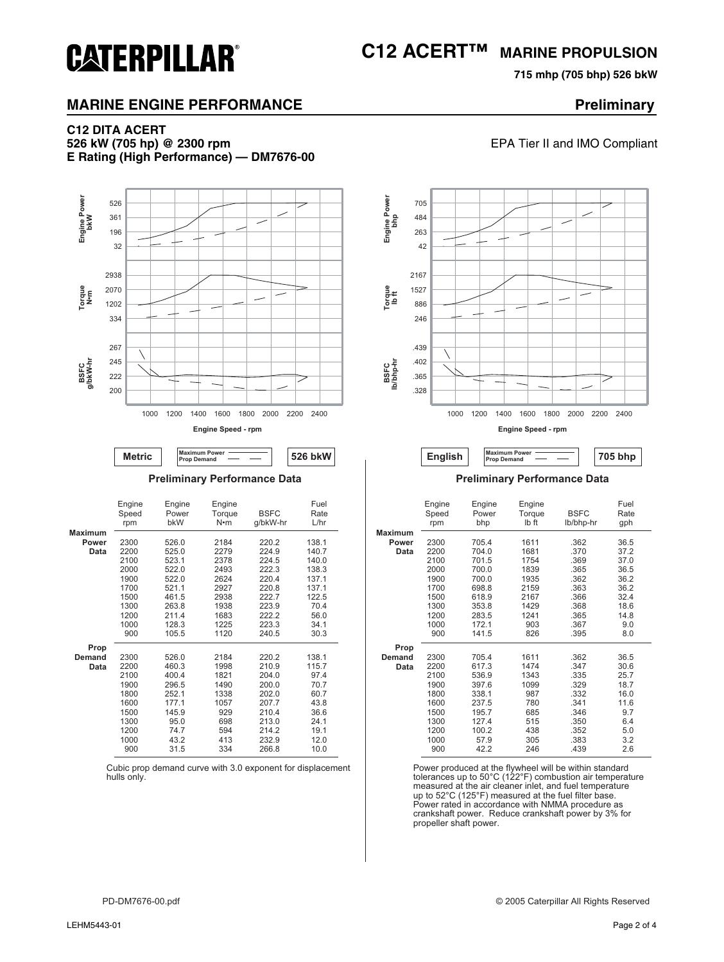## **C12 ACERT™ MARINE PROPULSION**

**715 mhp (705 bhp) 526 bkW**

**EPA Tier II and IMO Compliant** 

#### **MARINE ENGINE PERFORMANCE PROPERTY SERVICE PROPERTY PRELIMINARY**

## **C12 DITA ACERT**

**CATERPILLAR®** 

**E Rating (High Performance) — DM7676-00**





|                                 | Engine<br>Speed<br>rpm                                                              | Engine<br>Power<br>bkW                                                                      | Engine<br>Torque<br>N•m                                                         | <b>BSFC</b><br>g/bkW-hr                                                                         | Fuel<br>Rate<br>L/hr                                                                   |
|---------------------------------|-------------------------------------------------------------------------------------|---------------------------------------------------------------------------------------------|---------------------------------------------------------------------------------|-------------------------------------------------------------------------------------------------|----------------------------------------------------------------------------------------|
| <b>Maximum</b><br>Power<br>Data | 2300<br>2200<br>2100<br>2000<br>1900                                                | 526.0<br>525.0<br>523.1<br>522.0<br>522.0                                                   | 2184<br>2279<br>2378<br>2493<br>2624                                            | 220.2<br>224.9<br>224.5<br>222.3<br>220.4                                                       | 138.1<br>140.7<br>140.0<br>138.3<br>137.1                                              |
|                                 | 1700<br>1500<br>1300<br>1200<br>1000<br>900                                         | 521.1<br>461.5<br>263.8<br>211.4<br>128.3<br>105.5                                          | 2927<br>2938<br>1938<br>1683<br>1225<br>1120                                    | 220.8<br>222.7<br>223.9<br>222.2<br>223.3<br>240.5                                              | 137.1<br>122.5<br>70.4<br>56.0<br>34.1<br>30.3                                         |
| Prop<br>Demand<br>Data          | 2300<br>2200<br>2100<br>1900<br>1800<br>1600<br>1500<br>1300<br>1200<br>1000<br>900 | 526.0<br>460.3<br>400.4<br>296.5<br>252.1<br>177.1<br>145.9<br>95.0<br>74.7<br>43.2<br>31.5 | 2184<br>1998<br>1821<br>1490<br>1338<br>1057<br>929<br>698<br>594<br>413<br>334 | 220.2<br>210.9<br>204.0<br>200.0<br>202.0<br>207.7<br>210.4<br>213.0<br>214.2<br>232.9<br>266.8 | 138.1<br>115.7<br>97.4<br>70.7<br>60.7<br>43.8<br>36.6<br>24.1<br>19.1<br>12.0<br>10.0 |

Cubic prop demand curve with 3.0 exponent for displacement hulls only.



**Preliminary Performance Data Preliminary Performance Data**

| Engine | Engine | Engine |             | Fuel  |                | Engine | Engine | Engine |             | Fuel |
|--------|--------|--------|-------------|-------|----------------|--------|--------|--------|-------------|------|
| Speed  | Power  | Torque | <b>BSFC</b> | Rate  |                | Speed  | Power  | Torque | <b>BSFC</b> | Rate |
| rpm    | bkW    | N•m    | g/bkW-hr    | L/hr  |                | rpm    | bhp    | Ib ft  | lb/bhp-hr   | gph  |
|        |        |        |             |       | <b>Maximum</b> |        |        |        |             |      |
| 2300   | 526.0  | 2184   | 220.2       | 138.1 | Power          | 2300   | 705.4  | 1611   | .362        | 36.5 |
| 2200   | 525.0  | 2279   | 224.9       | 140.7 | Data           | 2200   | 704.0  | 1681   | .370        | 37.2 |
| 2100   | 523.1  | 2378   | 224.5       | 140.0 |                | 2100   | 701.5  | 1754   | .369        | 37.0 |
| 2000   | 522.0  | 2493   | 222.3       | 138.3 |                | 2000   | 700.0  | 1839   | .365        | 36.5 |
| 1900   | 522.0  | 2624   | 220.4       | 137.1 |                | 1900   | 700.0  | 1935   | .362        | 36.2 |
| 1700   | 521.1  | 2927   | 220.8       | 137.1 |                | 1700   | 698.8  | 2159   | .363        | 36.2 |
| 1500   | 461.5  | 2938   | 222.7       | 122.5 |                | 1500   | 618.9  | 2167   | .366        | 32.4 |
| 1300   | 263.8  | 1938   | 223.9       | 70.4  |                | 1300   | 353.8  | 1429   | .368        | 18.6 |
| 1200   | 211.4  | 1683   | 222.2       | 56.0  |                | 1200   | 283.5  | 1241   | .365        | 14.8 |
| 1000   | 128.3  | 1225   | 223.3       | 34.1  |                | 1000   | 172.1  | 903    | .367        | 9.0  |
| 900    | 105.5  | 1120   | 240.5       | 30.3  |                | 900    | 141.5  | 826    | .395        | 8.0  |
|        |        |        |             |       | Prop           |        |        |        |             |      |
| 2300   | 526.0  | 2184   | 220.2       | 138.1 | <b>Demand</b>  | 2300   | 705.4  | 1611   | .362        | 36.5 |
| 2200   | 460.3  | 1998   | 210.9       | 115.7 | Data           | 2200   | 617.3  | 1474   | .347        | 30.6 |
| 2100   | 400.4  | 1821   | 204.0       | 97.4  |                | 2100   | 536.9  | 1343   | .335        | 25.7 |
| 1900   | 296.5  | 1490   | 200.0       | 70.7  |                | 1900   | 397.6  | 1099   | .329        | 18.7 |
| 1800   | 252.1  | 1338   | 202.0       | 60.7  |                | 1800   | 338.1  | 987    | .332        | 16.0 |
| 1600   | 177.1  | 1057   | 207.7       | 43.8  |                | 1600   | 237.5  | 780    | .341        | 11.6 |
| 1500   | 145.9  | 929    | 210.4       | 36.6  |                | 1500   | 195.7  | 685    | .346        | 9.7  |
| 1300   | 95.0   | 698    | 213.0       | 24.1  |                | 1300   | 127.4  | 515    | .350        | 6.4  |
| 1200   | 74.7   | 594    | 214.2       | 19.1  |                | 1200   | 100.2  | 438    | .352        | 5.0  |
| 1000   | 43.2   | 413    | 232.9       | 12.0  |                | 1000   | 57.9   | 305    | .383        | 3.2  |
| 900    | 31.5   | 334    | 266.8       | 10.0  |                | 900    | 42.2   | 246    | .439        | 2.6  |

Power produced at the flywheel will be within standard tolerances up to 50°C (122°F) combustion air temperature measured at the air cleaner inlet, and fuel temperature up to 52°C (125°F) measured at the fuel filter base. Power rated in accordance with NMMA procedure as crankshaft power. Reduce crankshaft power by 3% for propeller shaft power.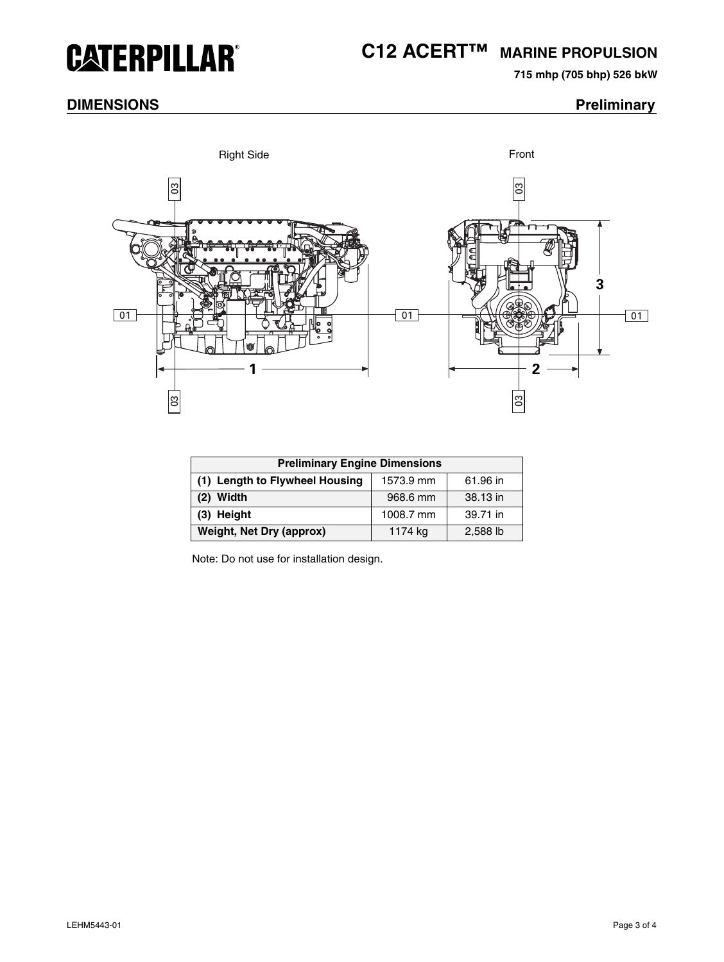## **CATERPILLAR®**

## **C12 ACERT™ MARINE PROPULSION**

**715 mhp (705 bhp) 526 bkW**

### **DIMENSIONS** Preliminary



| <b>Preliminary Engine Dimensions</b> |           |          |  |  |  |
|--------------------------------------|-----------|----------|--|--|--|
| (1) Length to Flywheel Housing       | 1573.9 mm | 61.96 in |  |  |  |
| $(2)$ Width                          | 968.6 mm  | 38.13 in |  |  |  |
| (3) Height                           | 1008.7 mm | 39.71 in |  |  |  |
| Weight, Net Dry (approx)             | 1174 kg   | 2,588 lb |  |  |  |

Note: Do not use for installation design.